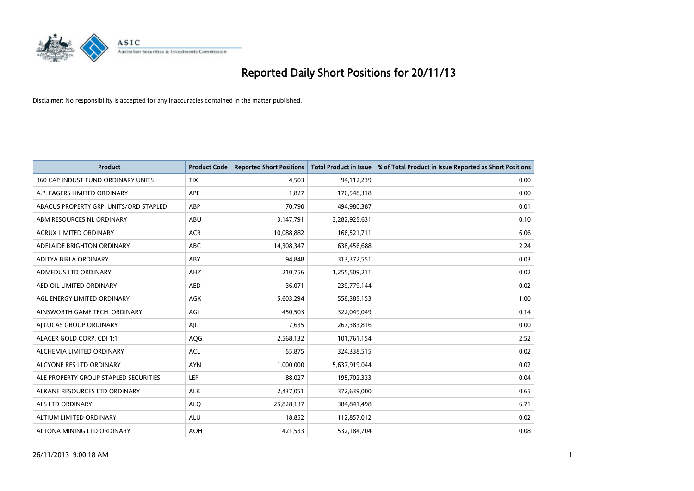

| <b>Product</b>                         | <b>Product Code</b> | <b>Reported Short Positions</b> | <b>Total Product in Issue</b> | % of Total Product in Issue Reported as Short Positions |
|----------------------------------------|---------------------|---------------------------------|-------------------------------|---------------------------------------------------------|
| 360 CAP INDUST FUND ORDINARY UNITS     | <b>TIX</b>          | 4,503                           | 94,112,239                    | 0.00                                                    |
| A.P. EAGERS LIMITED ORDINARY           | APE                 | 1,827                           | 176,548,318                   | 0.00                                                    |
| ABACUS PROPERTY GRP. UNITS/ORD STAPLED | ABP                 | 70,790                          | 494,980,387                   | 0.01                                                    |
| ABM RESOURCES NL ORDINARY              | ABU                 | 3,147,791                       | 3,282,925,631                 | 0.10                                                    |
| <b>ACRUX LIMITED ORDINARY</b>          | <b>ACR</b>          | 10,088,882                      | 166,521,711                   | 6.06                                                    |
| ADELAIDE BRIGHTON ORDINARY             | <b>ABC</b>          | 14,308,347                      | 638,456,688                   | 2.24                                                    |
| ADITYA BIRLA ORDINARY                  | ABY                 | 94,848                          | 313,372,551                   | 0.03                                                    |
| ADMEDUS LTD ORDINARY                   | AHZ                 | 210,756                         | 1,255,509,211                 | 0.02                                                    |
| AED OIL LIMITED ORDINARY               | <b>AED</b>          | 36,071                          | 239,779,144                   | 0.02                                                    |
| AGL ENERGY LIMITED ORDINARY            | <b>AGK</b>          | 5,603,294                       | 558,385,153                   | 1.00                                                    |
| AINSWORTH GAME TECH. ORDINARY          | AGI                 | 450,503                         | 322,049,049                   | 0.14                                                    |
| AI LUCAS GROUP ORDINARY                | AJL                 | 7,635                           | 267,383,816                   | 0.00                                                    |
| ALACER GOLD CORP. CDI 1:1              | AQG                 | 2,568,132                       | 101,761,154                   | 2.52                                                    |
| ALCHEMIA LIMITED ORDINARY              | <b>ACL</b>          | 55,875                          | 324,338,515                   | 0.02                                                    |
| ALCYONE RES LTD ORDINARY               | <b>AYN</b>          | 1,000,000                       | 5,637,919,044                 | 0.02                                                    |
| ALE PROPERTY GROUP STAPLED SECURITIES  | LEP                 | 88,027                          | 195,702,333                   | 0.04                                                    |
| ALKANE RESOURCES LTD ORDINARY          | <b>ALK</b>          | 2,437,051                       | 372,639,000                   | 0.65                                                    |
| <b>ALS LTD ORDINARY</b>                | <b>ALQ</b>          | 25,828,137                      | 384,841,498                   | 6.71                                                    |
| ALTIUM LIMITED ORDINARY                | <b>ALU</b>          | 18,852                          | 112,857,012                   | 0.02                                                    |
| ALTONA MINING LTD ORDINARY             | <b>AOH</b>          | 421,533                         | 532,184,704                   | 0.08                                                    |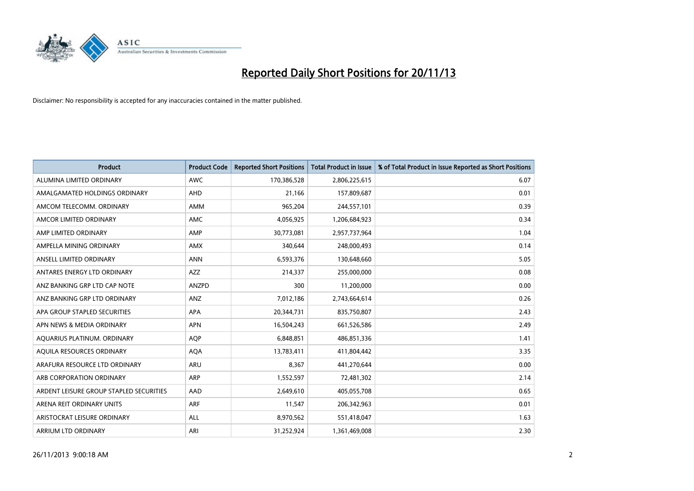

| <b>Product</b>                          | <b>Product Code</b> | <b>Reported Short Positions</b> | <b>Total Product in Issue</b> | % of Total Product in Issue Reported as Short Positions |
|-----------------------------------------|---------------------|---------------------------------|-------------------------------|---------------------------------------------------------|
| ALUMINA LIMITED ORDINARY                | <b>AWC</b>          | 170,386,528                     | 2,806,225,615                 | 6.07                                                    |
| AMALGAMATED HOLDINGS ORDINARY           | AHD                 | 21,166                          | 157,809,687                   | 0.01                                                    |
| AMCOM TELECOMM. ORDINARY                | <b>AMM</b>          | 965,204                         | 244,557,101                   | 0.39                                                    |
| AMCOR LIMITED ORDINARY                  | <b>AMC</b>          | 4,056,925                       | 1,206,684,923                 | 0.34                                                    |
| AMP LIMITED ORDINARY                    | AMP                 | 30,773,081                      | 2,957,737,964                 | 1.04                                                    |
| AMPELLA MINING ORDINARY                 | AMX                 | 340,644                         | 248,000,493                   | 0.14                                                    |
| ANSELL LIMITED ORDINARY                 | <b>ANN</b>          | 6,593,376                       | 130,648,660                   | 5.05                                                    |
| ANTARES ENERGY LTD ORDINARY             | AZZ                 | 214,337                         | 255,000,000                   | 0.08                                                    |
| ANZ BANKING GRP LTD CAP NOTE            | <b>ANZPD</b>        | 300                             | 11,200,000                    | 0.00                                                    |
| ANZ BANKING GRP LTD ORDINARY            | ANZ                 | 7,012,186                       | 2,743,664,614                 | 0.26                                                    |
| APA GROUP STAPLED SECURITIES            | APA                 | 20,344,731                      | 835,750,807                   | 2.43                                                    |
| APN NEWS & MEDIA ORDINARY               | <b>APN</b>          | 16,504,243                      | 661,526,586                   | 2.49                                                    |
| AQUARIUS PLATINUM. ORDINARY             | <b>AOP</b>          | 6,848,851                       | 486,851,336                   | 1.41                                                    |
| AQUILA RESOURCES ORDINARY               | <b>AQA</b>          | 13,783,411                      | 411,804,442                   | 3.35                                                    |
| ARAFURA RESOURCE LTD ORDINARY           | ARU                 | 8,367                           | 441,270,644                   | 0.00                                                    |
| ARB CORPORATION ORDINARY                | ARP                 | 1,552,597                       | 72,481,302                    | 2.14                                                    |
| ARDENT LEISURE GROUP STAPLED SECURITIES | AAD                 | 2,649,610                       | 405,055,708                   | 0.65                                                    |
| ARENA REIT ORDINARY UNITS               | ARF                 | 11,547                          | 206,342,963                   | 0.01                                                    |
| ARISTOCRAT LEISURE ORDINARY             | <b>ALL</b>          | 8,970,562                       | 551,418,047                   | 1.63                                                    |
| ARRIUM LTD ORDINARY                     | ARI                 | 31,252,924                      | 1,361,469,008                 | 2.30                                                    |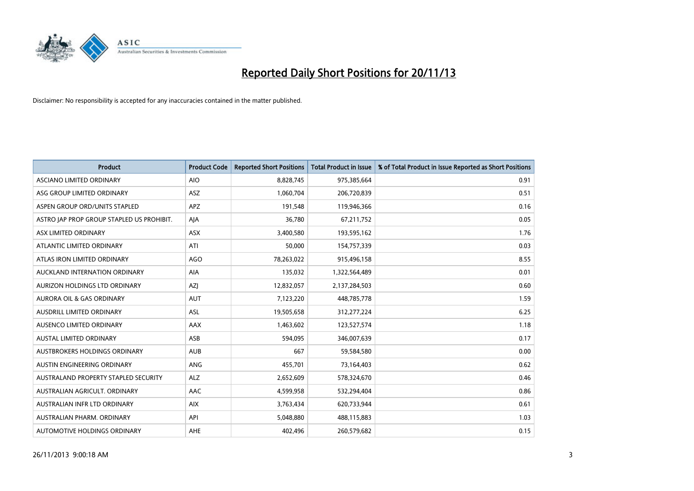

| <b>Product</b>                            | <b>Product Code</b> | <b>Reported Short Positions</b> | <b>Total Product in Issue</b> | % of Total Product in Issue Reported as Short Positions |
|-------------------------------------------|---------------------|---------------------------------|-------------------------------|---------------------------------------------------------|
| ASCIANO LIMITED ORDINARY                  | <b>AIO</b>          | 8,828,745                       | 975,385,664                   | 0.91                                                    |
| ASG GROUP LIMITED ORDINARY                | ASZ                 | 1,060,704                       | 206,720,839                   | 0.51                                                    |
| ASPEN GROUP ORD/UNITS STAPLED             | <b>APZ</b>          | 191,548                         | 119,946,366                   | 0.16                                                    |
| ASTRO JAP PROP GROUP STAPLED US PROHIBIT. | AJA                 | 36,780                          | 67,211,752                    | 0.05                                                    |
| ASX LIMITED ORDINARY                      | ASX                 | 3,400,580                       | 193,595,162                   | 1.76                                                    |
| ATLANTIC LIMITED ORDINARY                 | ATI                 | 50,000                          | 154,757,339                   | 0.03                                                    |
| ATLAS IRON LIMITED ORDINARY               | <b>AGO</b>          | 78,263,022                      | 915,496,158                   | 8.55                                                    |
| AUCKLAND INTERNATION ORDINARY             | AIA                 | 135,032                         | 1,322,564,489                 | 0.01                                                    |
| AURIZON HOLDINGS LTD ORDINARY             | AZJ                 | 12,832,057                      | 2,137,284,503                 | 0.60                                                    |
| <b>AURORA OIL &amp; GAS ORDINARY</b>      | <b>AUT</b>          | 7,123,220                       | 448,785,778                   | 1.59                                                    |
| AUSDRILL LIMITED ORDINARY                 | ASL                 | 19,505,658                      | 312,277,224                   | 6.25                                                    |
| AUSENCO LIMITED ORDINARY                  | AAX                 | 1,463,602                       | 123,527,574                   | 1.18                                                    |
| AUSTAL LIMITED ORDINARY                   | ASB                 | 594,095                         | 346,007,639                   | 0.17                                                    |
| AUSTBROKERS HOLDINGS ORDINARY             | <b>AUB</b>          | 667                             | 59,584,580                    | 0.00                                                    |
| AUSTIN ENGINEERING ORDINARY               | ANG                 | 455,701                         | 73,164,403                    | 0.62                                                    |
| AUSTRALAND PROPERTY STAPLED SECURITY      | <b>ALZ</b>          | 2,652,609                       | 578,324,670                   | 0.46                                                    |
| AUSTRALIAN AGRICULT. ORDINARY             | AAC                 | 4,599,958                       | 532,294,404                   | 0.86                                                    |
| AUSTRALIAN INFR LTD ORDINARY              | <b>AIX</b>          | 3,763,434                       | 620,733,944                   | 0.61                                                    |
| AUSTRALIAN PHARM, ORDINARY                | API                 | 5,048,880                       | 488,115,883                   | 1.03                                                    |
| AUTOMOTIVE HOLDINGS ORDINARY              | AHE                 | 402,496                         | 260,579,682                   | 0.15                                                    |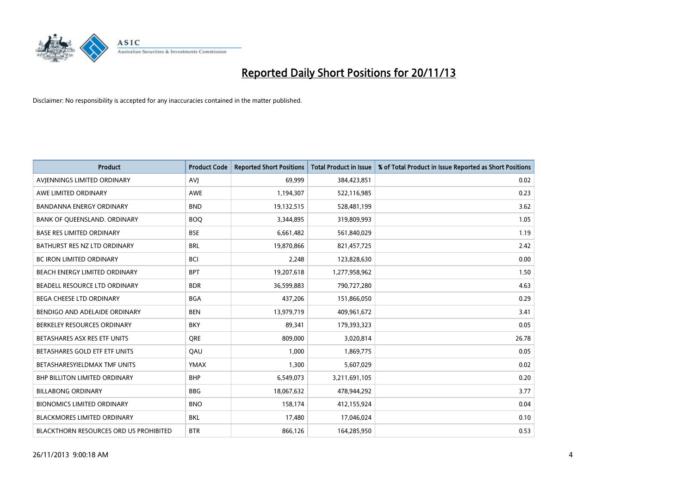

| <b>Product</b>                         | <b>Product Code</b> | <b>Reported Short Positions</b> | <b>Total Product in Issue</b> | % of Total Product in Issue Reported as Short Positions |
|----------------------------------------|---------------------|---------------------------------|-------------------------------|---------------------------------------------------------|
| AVIENNINGS LIMITED ORDINARY            | <b>AVJ</b>          | 69.999                          | 384,423,851                   | 0.02                                                    |
| AWE LIMITED ORDINARY                   | AWE                 | 1,194,307                       | 522,116,985                   | 0.23                                                    |
| <b>BANDANNA ENERGY ORDINARY</b>        | <b>BND</b>          | 19,132,515                      | 528,481,199                   | 3.62                                                    |
| BANK OF QUEENSLAND. ORDINARY           | <b>BOO</b>          | 3,344,895                       | 319,809,993                   | 1.05                                                    |
| <b>BASE RES LIMITED ORDINARY</b>       | <b>BSE</b>          | 6,661,482                       | 561,840,029                   | 1.19                                                    |
| BATHURST RES NZ LTD ORDINARY           | <b>BRL</b>          | 19,870,866                      | 821,457,725                   | 2.42                                                    |
| <b>BC IRON LIMITED ORDINARY</b>        | <b>BCI</b>          | 2,248                           | 123,828,630                   | 0.00                                                    |
| BEACH ENERGY LIMITED ORDINARY          | <b>BPT</b>          | 19,207,618                      | 1,277,958,962                 | 1.50                                                    |
| BEADELL RESOURCE LTD ORDINARY          | <b>BDR</b>          | 36,599,883                      | 790,727,280                   | 4.63                                                    |
| <b>BEGA CHEESE LTD ORDINARY</b>        | <b>BGA</b>          | 437,206                         | 151,866,050                   | 0.29                                                    |
| BENDIGO AND ADELAIDE ORDINARY          | <b>BEN</b>          | 13,979,719                      | 409,961,672                   | 3.41                                                    |
| BERKELEY RESOURCES ORDINARY            | <b>BKY</b>          | 89,341                          | 179,393,323                   | 0.05                                                    |
| BETASHARES ASX RES ETF UNITS           | <b>ORE</b>          | 809,000                         | 3,020,814                     | 26.78                                                   |
| BETASHARES GOLD ETF ETF UNITS          | QAU                 | 1,000                           | 1,869,775                     | 0.05                                                    |
| BETASHARESYIELDMAX TMF UNITS           | <b>YMAX</b>         | 1,300                           | 5,607,029                     | 0.02                                                    |
| <b>BHP BILLITON LIMITED ORDINARY</b>   | <b>BHP</b>          | 6,549,073                       | 3,211,691,105                 | 0.20                                                    |
| <b>BILLABONG ORDINARY</b>              | BBG                 | 18,067,632                      | 478,944,292                   | 3.77                                                    |
| <b>BIONOMICS LIMITED ORDINARY</b>      | <b>BNO</b>          | 158,174                         | 412,155,924                   | 0.04                                                    |
| <b>BLACKMORES LIMITED ORDINARY</b>     | <b>BKL</b>          | 17,480                          | 17,046,024                    | 0.10                                                    |
| BLACKTHORN RESOURCES ORD US PROHIBITED | <b>BTR</b>          | 866,126                         | 164,285,950                   | 0.53                                                    |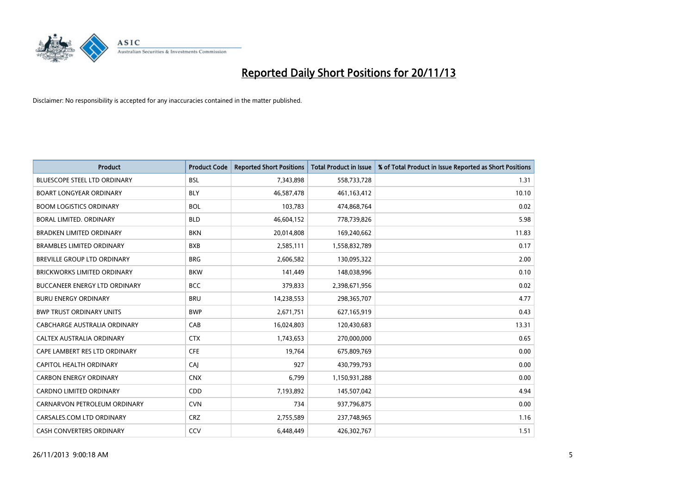

| Product                              | <b>Product Code</b> | <b>Reported Short Positions</b> | <b>Total Product in Issue</b> | % of Total Product in Issue Reported as Short Positions |
|--------------------------------------|---------------------|---------------------------------|-------------------------------|---------------------------------------------------------|
| <b>BLUESCOPE STEEL LTD ORDINARY</b>  | <b>BSL</b>          | 7,343,898                       | 558,733,728                   | 1.31                                                    |
| <b>BOART LONGYEAR ORDINARY</b>       | <b>BLY</b>          | 46,587,478                      | 461,163,412                   | 10.10                                                   |
| <b>BOOM LOGISTICS ORDINARY</b>       | <b>BOL</b>          | 103,783                         | 474,868,764                   | 0.02                                                    |
| BORAL LIMITED, ORDINARY              | <b>BLD</b>          | 46,604,152                      | 778,739,826                   | 5.98                                                    |
| <b>BRADKEN LIMITED ORDINARY</b>      | <b>BKN</b>          | 20,014,808                      | 169,240,662                   | 11.83                                                   |
| <b>BRAMBLES LIMITED ORDINARY</b>     | <b>BXB</b>          | 2,585,111                       | 1,558,832,789                 | 0.17                                                    |
| BREVILLE GROUP LTD ORDINARY          | <b>BRG</b>          | 2,606,582                       | 130,095,322                   | 2.00                                                    |
| <b>BRICKWORKS LIMITED ORDINARY</b>   | <b>BKW</b>          | 141,449                         | 148,038,996                   | 0.10                                                    |
| <b>BUCCANEER ENERGY LTD ORDINARY</b> | <b>BCC</b>          | 379,833                         | 2,398,671,956                 | 0.02                                                    |
| <b>BURU ENERGY ORDINARY</b>          | <b>BRU</b>          | 14,238,553                      | 298,365,707                   | 4.77                                                    |
| <b>BWP TRUST ORDINARY UNITS</b>      | <b>BWP</b>          | 2,671,751                       | 627,165,919                   | 0.43                                                    |
| CABCHARGE AUSTRALIA ORDINARY         | CAB                 | 16,024,803                      | 120,430,683                   | 13.31                                                   |
| CALTEX AUSTRALIA ORDINARY            | <b>CTX</b>          | 1,743,653                       | 270,000,000                   | 0.65                                                    |
| CAPE LAMBERT RES LTD ORDINARY        | <b>CFE</b>          | 19,764                          | 675,809,769                   | 0.00                                                    |
| <b>CAPITOL HEALTH ORDINARY</b>       | CAJ                 | 927                             | 430,799,793                   | 0.00                                                    |
| <b>CARBON ENERGY ORDINARY</b>        | <b>CNX</b>          | 6,799                           | 1,150,931,288                 | 0.00                                                    |
| CARDNO LIMITED ORDINARY              | CDD                 | 7,193,892                       | 145,507,042                   | 4.94                                                    |
| CARNARVON PETROLEUM ORDINARY         | <b>CVN</b>          | 734                             | 937,796,875                   | 0.00                                                    |
| CARSALES.COM LTD ORDINARY            | <b>CRZ</b>          | 2,755,589                       | 237,748,965                   | 1.16                                                    |
| <b>CASH CONVERTERS ORDINARY</b>      | CCV                 | 6,448,449                       | 426,302,767                   | 1.51                                                    |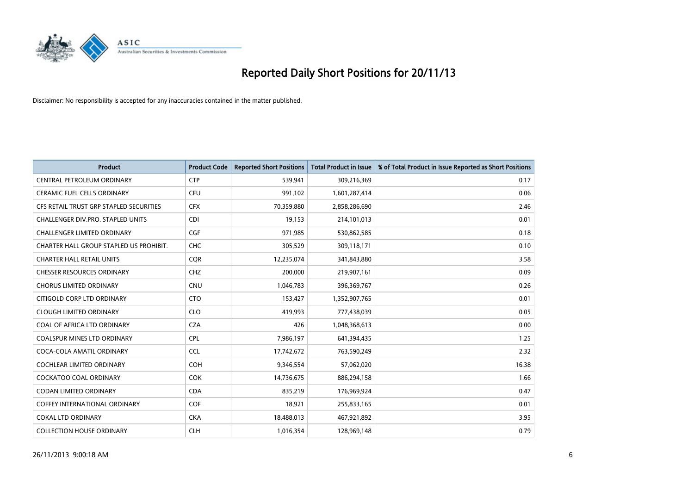

| <b>Product</b>                          | <b>Product Code</b> | <b>Reported Short Positions</b> | <b>Total Product in Issue</b> | % of Total Product in Issue Reported as Short Positions |
|-----------------------------------------|---------------------|---------------------------------|-------------------------------|---------------------------------------------------------|
| CENTRAL PETROLEUM ORDINARY              | <b>CTP</b>          | 539,941                         | 309,216,369                   | 0.17                                                    |
| CERAMIC FUEL CELLS ORDINARY             | <b>CFU</b>          | 991,102                         | 1,601,287,414                 | 0.06                                                    |
| CFS RETAIL TRUST GRP STAPLED SECURITIES | <b>CFX</b>          | 70,359,880                      | 2,858,286,690                 | 2.46                                                    |
| CHALLENGER DIV.PRO. STAPLED UNITS       | <b>CDI</b>          | 19,153                          | 214,101,013                   | 0.01                                                    |
| <b>CHALLENGER LIMITED ORDINARY</b>      | <b>CGF</b>          | 971,985                         | 530,862,585                   | 0.18                                                    |
| CHARTER HALL GROUP STAPLED US PROHIBIT. | <b>CHC</b>          | 305,529                         | 309,118,171                   | 0.10                                                    |
| <b>CHARTER HALL RETAIL UNITS</b>        | <b>CQR</b>          | 12,235,074                      | 341,843,880                   | 3.58                                                    |
| <b>CHESSER RESOURCES ORDINARY</b>       | <b>CHZ</b>          | 200,000                         | 219,907,161                   | 0.09                                                    |
| <b>CHORUS LIMITED ORDINARY</b>          | CNU                 | 1,046,783                       | 396,369,767                   | 0.26                                                    |
| CITIGOLD CORP LTD ORDINARY              | <b>CTO</b>          | 153,427                         | 1,352,907,765                 | 0.01                                                    |
| <b>CLOUGH LIMITED ORDINARY</b>          | <b>CLO</b>          | 419,993                         | 777,438,039                   | 0.05                                                    |
| COAL OF AFRICA LTD ORDINARY             | <b>CZA</b>          | 426                             | 1,048,368,613                 | 0.00                                                    |
| <b>COALSPUR MINES LTD ORDINARY</b>      | <b>CPL</b>          | 7,986,197                       | 641,394,435                   | 1.25                                                    |
| COCA-COLA AMATIL ORDINARY               | <b>CCL</b>          | 17,742,672                      | 763,590,249                   | 2.32                                                    |
| <b>COCHLEAR LIMITED ORDINARY</b>        | COH                 | 9,346,554                       | 57,062,020                    | 16.38                                                   |
| <b>COCKATOO COAL ORDINARY</b>           | <b>COK</b>          | 14,736,675                      | 886,294,158                   | 1.66                                                    |
| CODAN LIMITED ORDINARY                  | <b>CDA</b>          | 835,219                         | 176,969,924                   | 0.47                                                    |
| <b>COFFEY INTERNATIONAL ORDINARY</b>    | <b>COF</b>          | 18,921                          | 255,833,165                   | 0.01                                                    |
| <b>COKAL LTD ORDINARY</b>               | <b>CKA</b>          | 18,488,013                      | 467,921,892                   | 3.95                                                    |
| <b>COLLECTION HOUSE ORDINARY</b>        | <b>CLH</b>          | 1,016,354                       | 128,969,148                   | 0.79                                                    |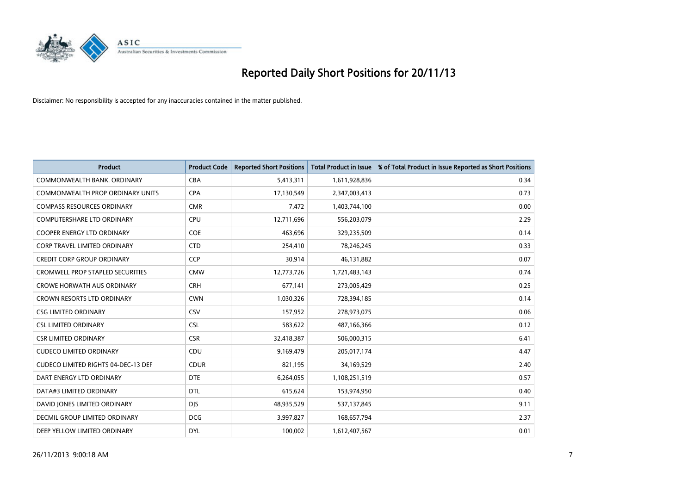

| <b>Product</b>                             | <b>Product Code</b> | <b>Reported Short Positions</b> | <b>Total Product in Issue</b> | % of Total Product in Issue Reported as Short Positions |
|--------------------------------------------|---------------------|---------------------------------|-------------------------------|---------------------------------------------------------|
| COMMONWEALTH BANK, ORDINARY                | <b>CBA</b>          | 5,413,311                       | 1,611,928,836                 | 0.34                                                    |
| COMMONWEALTH PROP ORDINARY UNITS           | <b>CPA</b>          | 17,130,549                      | 2,347,003,413                 | 0.73                                                    |
| <b>COMPASS RESOURCES ORDINARY</b>          | <b>CMR</b>          | 7,472                           | 1,403,744,100                 | 0.00                                                    |
| <b>COMPUTERSHARE LTD ORDINARY</b>          | <b>CPU</b>          | 12,711,696                      | 556,203,079                   | 2.29                                                    |
| <b>COOPER ENERGY LTD ORDINARY</b>          | <b>COE</b>          | 463,696                         | 329,235,509                   | 0.14                                                    |
| CORP TRAVEL LIMITED ORDINARY               | <b>CTD</b>          | 254,410                         | 78,246,245                    | 0.33                                                    |
| <b>CREDIT CORP GROUP ORDINARY</b>          | <b>CCP</b>          | 30,914                          | 46,131,882                    | 0.07                                                    |
| <b>CROMWELL PROP STAPLED SECURITIES</b>    | <b>CMW</b>          | 12,773,726                      | 1,721,483,143                 | 0.74                                                    |
| <b>CROWE HORWATH AUS ORDINARY</b>          | <b>CRH</b>          | 677,141                         | 273,005,429                   | 0.25                                                    |
| <b>CROWN RESORTS LTD ORDINARY</b>          | <b>CWN</b>          | 1,030,326                       | 728,394,185                   | 0.14                                                    |
| <b>CSG LIMITED ORDINARY</b>                | CSV                 | 157,952                         | 278,973,075                   | 0.06                                                    |
| <b>CSL LIMITED ORDINARY</b>                | <b>CSL</b>          | 583,622                         | 487,166,366                   | 0.12                                                    |
| <b>CSR LIMITED ORDINARY</b>                | <b>CSR</b>          | 32,418,387                      | 506,000,315                   | 6.41                                                    |
| <b>CUDECO LIMITED ORDINARY</b>             | CDU                 | 9,169,479                       | 205,017,174                   | 4.47                                                    |
| <b>CUDECO LIMITED RIGHTS 04-DEC-13 DEF</b> | <b>CDUR</b>         | 821,195                         | 34,169,529                    | 2.40                                                    |
| DART ENERGY LTD ORDINARY                   | <b>DTE</b>          | 6,264,055                       | 1,108,251,519                 | 0.57                                                    |
| DATA#3 LIMITED ORDINARY                    | DTL                 | 615,624                         | 153,974,950                   | 0.40                                                    |
| DAVID JONES LIMITED ORDINARY               | <b>DJS</b>          | 48,935,529                      | 537,137,845                   | 9.11                                                    |
| <b>DECMIL GROUP LIMITED ORDINARY</b>       | <b>DCG</b>          | 3,997,827                       | 168,657,794                   | 2.37                                                    |
| DEEP YELLOW LIMITED ORDINARY               | <b>DYL</b>          | 100,002                         | 1,612,407,567                 | 0.01                                                    |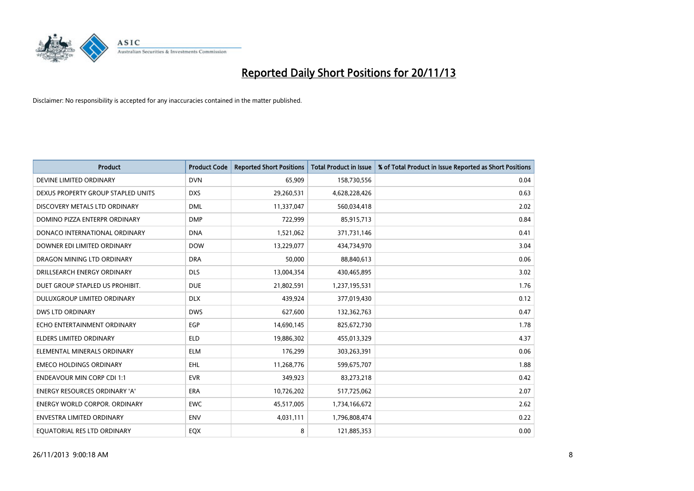

| <b>Product</b>                     | <b>Product Code</b> | <b>Reported Short Positions</b> | <b>Total Product in Issue</b> | % of Total Product in Issue Reported as Short Positions |
|------------------------------------|---------------------|---------------------------------|-------------------------------|---------------------------------------------------------|
| DEVINE LIMITED ORDINARY            | <b>DVN</b>          | 65,909                          | 158,730,556                   | 0.04                                                    |
| DEXUS PROPERTY GROUP STAPLED UNITS | <b>DXS</b>          | 29,260,531                      | 4,628,228,426                 | 0.63                                                    |
| DISCOVERY METALS LTD ORDINARY      | <b>DML</b>          | 11,337,047                      | 560,034,418                   | 2.02                                                    |
| DOMINO PIZZA ENTERPR ORDINARY      | <b>DMP</b>          | 722,999                         | 85,915,713                    | 0.84                                                    |
| DONACO INTERNATIONAL ORDINARY      | <b>DNA</b>          | 1,521,062                       | 371,731,146                   | 0.41                                                    |
| DOWNER EDI LIMITED ORDINARY        | <b>DOW</b>          | 13,229,077                      | 434,734,970                   | 3.04                                                    |
| DRAGON MINING LTD ORDINARY         | <b>DRA</b>          | 50,000                          | 88,840,613                    | 0.06                                                    |
| DRILLSEARCH ENERGY ORDINARY        | <b>DLS</b>          | 13,004,354                      | 430,465,895                   | 3.02                                                    |
| DUET GROUP STAPLED US PROHIBIT.    | <b>DUE</b>          | 21,802,591                      | 1,237,195,531                 | 1.76                                                    |
| DULUXGROUP LIMITED ORDINARY        | <b>DLX</b>          | 439,924                         | 377,019,430                   | 0.12                                                    |
| DWS LTD ORDINARY                   | <b>DWS</b>          | 627,600                         | 132,362,763                   | 0.47                                                    |
| ECHO ENTERTAINMENT ORDINARY        | <b>EGP</b>          | 14,690,145                      | 825,672,730                   | 1.78                                                    |
| <b>ELDERS LIMITED ORDINARY</b>     | <b>ELD</b>          | 19,886,302                      | 455,013,329                   | 4.37                                                    |
| ELEMENTAL MINERALS ORDINARY        | <b>ELM</b>          | 176,299                         | 303,263,391                   | 0.06                                                    |
| <b>EMECO HOLDINGS ORDINARY</b>     | <b>EHL</b>          | 11,268,776                      | 599,675,707                   | 1.88                                                    |
| <b>ENDEAVOUR MIN CORP CDI 1:1</b>  | <b>EVR</b>          | 349,923                         | 83,273,218                    | 0.42                                                    |
| ENERGY RESOURCES ORDINARY 'A'      | ERA                 | 10,726,202                      | 517,725,062                   | 2.07                                                    |
| ENERGY WORLD CORPOR. ORDINARY      | <b>EWC</b>          | 45,517,005                      | 1,734,166,672                 | 2.62                                                    |
| <b>ENVESTRA LIMITED ORDINARY</b>   | <b>ENV</b>          | 4,031,111                       | 1,796,808,474                 | 0.22                                                    |
| EQUATORIAL RES LTD ORDINARY        | EQX                 | 8                               | 121,885,353                   | 0.00                                                    |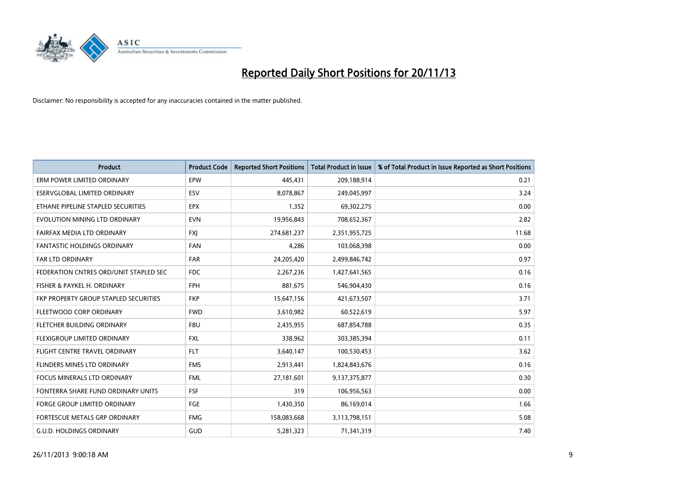

| <b>Product</b>                         | <b>Product Code</b> | <b>Reported Short Positions</b> | <b>Total Product in Issue</b> | % of Total Product in Issue Reported as Short Positions |
|----------------------------------------|---------------------|---------------------------------|-------------------------------|---------------------------------------------------------|
| ERM POWER LIMITED ORDINARY             | EPW                 | 445,431                         | 209,188,914                   | 0.21                                                    |
| ESERVGLOBAL LIMITED ORDINARY           | ESV                 | 8,078,867                       | 249,045,997                   | 3.24                                                    |
| ETHANE PIPELINE STAPLED SECURITIES     | <b>EPX</b>          | 1,352                           | 69,302,275                    | 0.00                                                    |
| EVOLUTION MINING LTD ORDINARY          | <b>EVN</b>          | 19,956,843                      | 708,652,367                   | 2.82                                                    |
| <b>FAIRFAX MEDIA LTD ORDINARY</b>      | <b>FXI</b>          | 274,681,237                     | 2,351,955,725                 | 11.68                                                   |
| <b>FANTASTIC HOLDINGS ORDINARY</b>     | <b>FAN</b>          | 4,286                           | 103,068,398                   | 0.00                                                    |
| <b>FAR LTD ORDINARY</b>                | <b>FAR</b>          | 24,205,420                      | 2,499,846,742                 | 0.97                                                    |
| FEDERATION CNTRES ORD/UNIT STAPLED SEC | <b>FDC</b>          | 2,267,236                       | 1,427,641,565                 | 0.16                                                    |
| FISHER & PAYKEL H. ORDINARY            | <b>FPH</b>          | 881,675                         | 546,904,430                   | 0.16                                                    |
| FKP PROPERTY GROUP STAPLED SECURITIES  | <b>FKP</b>          | 15,647,156                      | 421,673,507                   | 3.71                                                    |
| FLEETWOOD CORP ORDINARY                | <b>FWD</b>          | 3,610,982                       | 60,522,619                    | 5.97                                                    |
| FLETCHER BUILDING ORDINARY             | <b>FBU</b>          | 2,435,955                       | 687,854,788                   | 0.35                                                    |
| FLEXIGROUP LIMITED ORDINARY            | <b>FXL</b>          | 338,962                         | 303,385,394                   | 0.11                                                    |
| FLIGHT CENTRE TRAVEL ORDINARY          | <b>FLT</b>          | 3,640,147                       | 100,530,453                   | 3.62                                                    |
| FLINDERS MINES LTD ORDINARY            | <b>FMS</b>          | 2,913,441                       | 1,824,843,676                 | 0.16                                                    |
| FOCUS MINERALS LTD ORDINARY            | <b>FML</b>          | 27,181,601                      | 9,137,375,877                 | 0.30                                                    |
| FONTERRA SHARE FUND ORDINARY UNITS     | <b>FSF</b>          | 319                             | 106,956,563                   | 0.00                                                    |
| FORGE GROUP LIMITED ORDINARY           | FGE                 | 1,430,350                       | 86,169,014                    | 1.66                                                    |
| FORTESCUE METALS GRP ORDINARY          | <b>FMG</b>          | 158,083,668                     | 3,113,798,151                 | 5.08                                                    |
| <b>G.U.D. HOLDINGS ORDINARY</b>        | GUD                 | 5,281,323                       | 71,341,319                    | 7.40                                                    |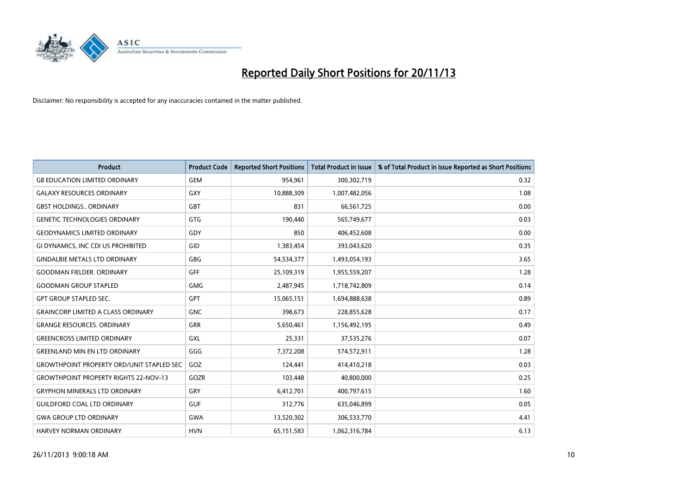

| <b>Product</b>                                   | <b>Product Code</b> | <b>Reported Short Positions</b> | <b>Total Product in Issue</b> | % of Total Product in Issue Reported as Short Positions |
|--------------------------------------------------|---------------------|---------------------------------|-------------------------------|---------------------------------------------------------|
| <b>G8 EDUCATION LIMITED ORDINARY</b>             | <b>GEM</b>          | 954,961                         | 300,302,719                   | 0.32                                                    |
| <b>GALAXY RESOURCES ORDINARY</b>                 | <b>GXY</b>          | 10,888,309                      | 1,007,482,056                 | 1.08                                                    |
| <b>GBST HOLDINGS., ORDINARY</b>                  | GBT                 | 831                             | 66,561,725                    | 0.00                                                    |
| <b>GENETIC TECHNOLOGIES ORDINARY</b>             | GTG                 | 190,440                         | 565,749,677                   | 0.03                                                    |
| <b>GEODYNAMICS LIMITED ORDINARY</b>              | GDY                 | 850                             | 406,452,608                   | 0.00                                                    |
| GI DYNAMICS, INC CDI US PROHIBITED               | GID                 | 1,383,454                       | 393,043,620                   | 0.35                                                    |
| <b>GINDALBIE METALS LTD ORDINARY</b>             | <b>GBG</b>          | 54,534,377                      | 1,493,054,193                 | 3.65                                                    |
| <b>GOODMAN FIELDER, ORDINARY</b>                 | <b>GFF</b>          | 25,109,319                      | 1,955,559,207                 | 1.28                                                    |
| <b>GOODMAN GROUP STAPLED</b>                     | <b>GMG</b>          | 2,487,945                       | 1,718,742,809                 | 0.14                                                    |
| <b>GPT GROUP STAPLED SEC.</b>                    | <b>GPT</b>          | 15,065,151                      | 1,694,888,638                 | 0.89                                                    |
| <b>GRAINCORP LIMITED A CLASS ORDINARY</b>        | <b>GNC</b>          | 398,673                         | 228,855,628                   | 0.17                                                    |
| <b>GRANGE RESOURCES, ORDINARY</b>                | <b>GRR</b>          | 5,650,461                       | 1,156,492,195                 | 0.49                                                    |
| <b>GREENCROSS LIMITED ORDINARY</b>               | <b>GXL</b>          | 25,331                          | 37,535,276                    | 0.07                                                    |
| <b>GREENLAND MIN EN LTD ORDINARY</b>             | GGG                 | 7,372,208                       | 574,572,911                   | 1.28                                                    |
| <b>GROWTHPOINT PROPERTY ORD/UNIT STAPLED SEC</b> | GOZ                 | 124,441                         | 414,410,218                   | 0.03                                                    |
| <b>GROWTHPOINT PROPERTY RIGHTS 22-NOV-13</b>     | GOZR                | 103,448                         | 40,800,000                    | 0.25                                                    |
| <b>GRYPHON MINERALS LTD ORDINARY</b>             | GRY                 | 6,412,701                       | 400,797,615                   | 1.60                                                    |
| <b>GUILDFORD COAL LTD ORDINARY</b>               | <b>GUF</b>          | 312,776                         | 635,046,899                   | 0.05                                                    |
| <b>GWA GROUP LTD ORDINARY</b>                    | <b>GWA</b>          | 13,520,302                      | 306,533,770                   | 4.41                                                    |
| <b>HARVEY NORMAN ORDINARY</b>                    | <b>HVN</b>          | 65, 151, 583                    | 1,062,316,784                 | 6.13                                                    |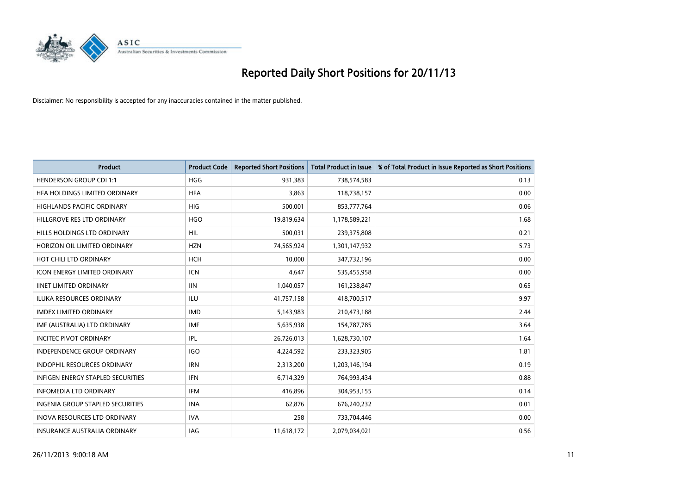

| <b>Product</b>                      | <b>Product Code</b> | <b>Reported Short Positions</b> | <b>Total Product in Issue</b> | % of Total Product in Issue Reported as Short Positions |
|-------------------------------------|---------------------|---------------------------------|-------------------------------|---------------------------------------------------------|
| <b>HENDERSON GROUP CDI 1:1</b>      | <b>HGG</b>          | 931,383                         | 738,574,583                   | 0.13                                                    |
| HFA HOLDINGS LIMITED ORDINARY       | <b>HFA</b>          | 3,863                           | 118,738,157                   | 0.00                                                    |
| <b>HIGHLANDS PACIFIC ORDINARY</b>   | <b>HIG</b>          | 500,001                         | 853,777,764                   | 0.06                                                    |
| HILLGROVE RES LTD ORDINARY          | <b>HGO</b>          | 19,819,634                      | 1,178,589,221                 | 1.68                                                    |
| HILLS HOLDINGS LTD ORDINARY         | <b>HIL</b>          | 500,031                         | 239,375,808                   | 0.21                                                    |
| HORIZON OIL LIMITED ORDINARY        | <b>HZN</b>          | 74,565,924                      | 1,301,147,932                 | 5.73                                                    |
| HOT CHILI LTD ORDINARY              | HCH                 | 10,000                          | 347,732,196                   | 0.00                                                    |
| ICON ENERGY LIMITED ORDINARY        | <b>ICN</b>          | 4,647                           | 535,455,958                   | 0.00                                                    |
| <b>IINET LIMITED ORDINARY</b>       | <b>IIN</b>          | 1,040,057                       | 161,238,847                   | 0.65                                                    |
| <b>ILUKA RESOURCES ORDINARY</b>     | ILU                 | 41,757,158                      | 418,700,517                   | 9.97                                                    |
| <b>IMDEX LIMITED ORDINARY</b>       | <b>IMD</b>          | 5,143,983                       | 210,473,188                   | 2.44                                                    |
| IMF (AUSTRALIA) LTD ORDINARY        | <b>IMF</b>          | 5,635,938                       | 154,787,785                   | 3.64                                                    |
| <b>INCITEC PIVOT ORDINARY</b>       | <b>IPL</b>          | 26,726,013                      | 1,628,730,107                 | 1.64                                                    |
| <b>INDEPENDENCE GROUP ORDINARY</b>  | <b>IGO</b>          | 4,224,592                       | 233,323,905                   | 1.81                                                    |
| <b>INDOPHIL RESOURCES ORDINARY</b>  | <b>IRN</b>          | 2,313,200                       | 1,203,146,194                 | 0.19                                                    |
| INFIGEN ENERGY STAPLED SECURITIES   | <b>IFN</b>          | 6,714,329                       | 764,993,434                   | 0.88                                                    |
| <b>INFOMEDIA LTD ORDINARY</b>       | IFM                 | 416,896                         | 304,953,155                   | 0.14                                                    |
| INGENIA GROUP STAPLED SECURITIES    | <b>INA</b>          | 62,876                          | 676,240,232                   | 0.01                                                    |
| <b>INOVA RESOURCES LTD ORDINARY</b> | <b>IVA</b>          | 258                             | 733,704,446                   | 0.00                                                    |
| <b>INSURANCE AUSTRALIA ORDINARY</b> | IAG                 | 11,618,172                      | 2,079,034,021                 | 0.56                                                    |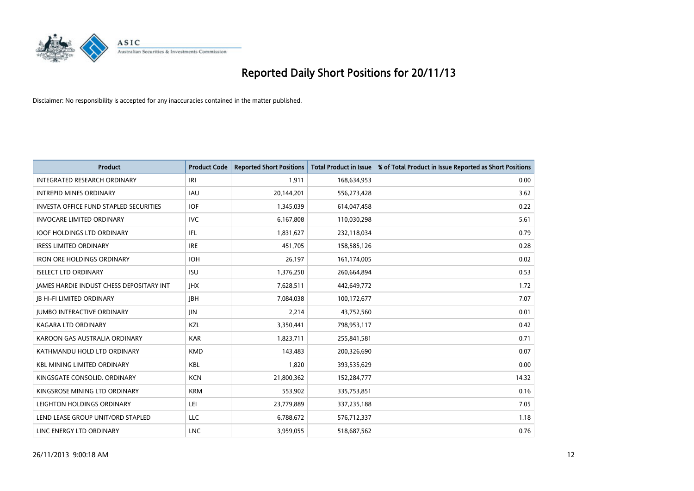

| <b>Product</b>                                | <b>Product Code</b> | <b>Reported Short Positions</b> | <b>Total Product in Issue</b> | % of Total Product in Issue Reported as Short Positions |
|-----------------------------------------------|---------------------|---------------------------------|-------------------------------|---------------------------------------------------------|
| INTEGRATED RESEARCH ORDINARY                  | IRI                 | 1,911                           | 168,634,953                   | 0.00                                                    |
| <b>INTREPID MINES ORDINARY</b>                | <b>IAU</b>          | 20,144,201                      | 556,273,428                   | 3.62                                                    |
| <b>INVESTA OFFICE FUND STAPLED SECURITIES</b> | <b>IOF</b>          | 1,345,039                       | 614,047,458                   | 0.22                                                    |
| <b>INVOCARE LIMITED ORDINARY</b>              | <b>IVC</b>          | 6,167,808                       | 110,030,298                   | 5.61                                                    |
| <b>IOOF HOLDINGS LTD ORDINARY</b>             | IFL                 | 1,831,627                       | 232,118,034                   | 0.79                                                    |
| <b>IRESS LIMITED ORDINARY</b>                 | <b>IRE</b>          | 451,705                         | 158,585,126                   | 0.28                                                    |
| <b>IRON ORE HOLDINGS ORDINARY</b>             | <b>IOH</b>          | 26,197                          | 161,174,005                   | 0.02                                                    |
| <b>ISELECT LTD ORDINARY</b>                   | <b>ISU</b>          | 1,376,250                       | 260,664,894                   | 0.53                                                    |
| JAMES HARDIE INDUST CHESS DEPOSITARY INT      | <b>IHX</b>          | 7,628,511                       | 442,649,772                   | 1.72                                                    |
| <b>JB HI-FI LIMITED ORDINARY</b>              | <b>JBH</b>          | 7,084,038                       | 100,172,677                   | 7.07                                                    |
| JUMBO INTERACTIVE ORDINARY                    | <b>JIN</b>          | 2,214                           | 43,752,560                    | 0.01                                                    |
| <b>KAGARA LTD ORDINARY</b>                    | KZL                 | 3,350,441                       | 798,953,117                   | 0.42                                                    |
| KAROON GAS AUSTRALIA ORDINARY                 | <b>KAR</b>          | 1,823,711                       | 255,841,581                   | 0.71                                                    |
| KATHMANDU HOLD LTD ORDINARY                   | <b>KMD</b>          | 143,483                         | 200,326,690                   | 0.07                                                    |
| <b>KBL MINING LIMITED ORDINARY</b>            | <b>KBL</b>          | 1,820                           | 393,535,629                   | 0.00                                                    |
| KINGSGATE CONSOLID. ORDINARY                  | <b>KCN</b>          | 21,800,362                      | 152,284,777                   | 14.32                                                   |
| KINGSROSE MINING LTD ORDINARY                 | <b>KRM</b>          | 553,902                         | 335,753,851                   | 0.16                                                    |
| LEIGHTON HOLDINGS ORDINARY                    | LEI                 | 23,779,889                      | 337,235,188                   | 7.05                                                    |
| LEND LEASE GROUP UNIT/ORD STAPLED             | <b>LLC</b>          | 6,788,672                       | 576,712,337                   | 1.18                                                    |
| LINC ENERGY LTD ORDINARY                      | <b>LNC</b>          | 3,959,055                       | 518,687,562                   | 0.76                                                    |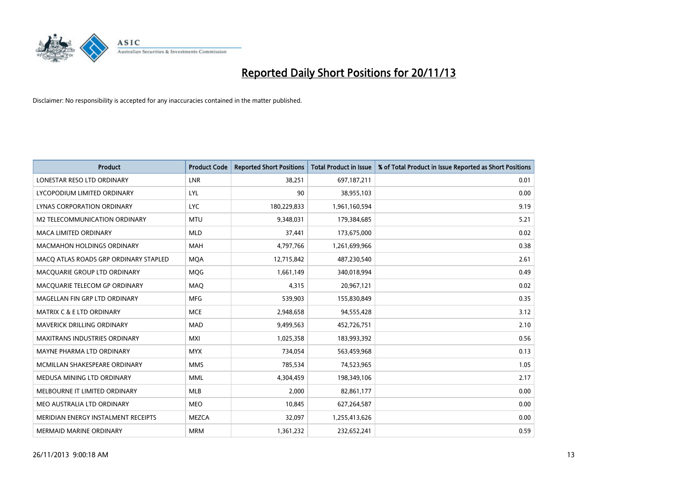

| <b>Product</b>                        | <b>Product Code</b> | <b>Reported Short Positions</b> | <b>Total Product in Issue</b> | % of Total Product in Issue Reported as Short Positions |
|---------------------------------------|---------------------|---------------------------------|-------------------------------|---------------------------------------------------------|
| LONESTAR RESO LTD ORDINARY            | LNR                 | 38,251                          | 697,187,211                   | 0.01                                                    |
| LYCOPODIUM LIMITED ORDINARY           | LYL                 | 90                              | 38,955,103                    | 0.00                                                    |
| <b>LYNAS CORPORATION ORDINARY</b>     | <b>LYC</b>          | 180,229,833                     | 1,961,160,594                 | 9.19                                                    |
| M2 TELECOMMUNICATION ORDINARY         | <b>MTU</b>          | 9,348,031                       | 179,384,685                   | 5.21                                                    |
| <b>MACA LIMITED ORDINARY</b>          | <b>MLD</b>          | 37,441                          | 173,675,000                   | 0.02                                                    |
| <b>MACMAHON HOLDINGS ORDINARY</b>     | <b>MAH</b>          | 4,797,766                       | 1,261,699,966                 | 0.38                                                    |
| MACO ATLAS ROADS GRP ORDINARY STAPLED | <b>MQA</b>          | 12,715,842                      | 487,230,540                   | 2.61                                                    |
| MACQUARIE GROUP LTD ORDINARY          | <b>MQG</b>          | 1,661,149                       | 340,018,994                   | 0.49                                                    |
| MACQUARIE TELECOM GP ORDINARY         | MAQ                 | 4.315                           | 20,967,121                    | 0.02                                                    |
| MAGELLAN FIN GRP LTD ORDINARY         | <b>MFG</b>          | 539,903                         | 155,830,849                   | 0.35                                                    |
| MATRIX C & E LTD ORDINARY             | <b>MCE</b>          | 2,948,658                       | 94,555,428                    | 3.12                                                    |
| <b>MAVERICK DRILLING ORDINARY</b>     | <b>MAD</b>          | 9,499,563                       | 452,726,751                   | 2.10                                                    |
| MAXITRANS INDUSTRIES ORDINARY         | <b>MXI</b>          | 1,025,358                       | 183,993,392                   | 0.56                                                    |
| MAYNE PHARMA LTD ORDINARY             | <b>MYX</b>          | 734,054                         | 563,459,968                   | 0.13                                                    |
| MCMILLAN SHAKESPEARE ORDINARY         | <b>MMS</b>          | 785,534                         | 74,523,965                    | 1.05                                                    |
| MEDUSA MINING LTD ORDINARY            | <b>MML</b>          | 4,304,459                       | 198,349,106                   | 2.17                                                    |
| MELBOURNE IT LIMITED ORDINARY         | MLB                 | 2,000                           | 82,861,177                    | 0.00                                                    |
| MEO AUSTRALIA LTD ORDINARY            | <b>MEO</b>          | 10,845                          | 627,264,587                   | 0.00                                                    |
| MERIDIAN ENERGY INSTALMENT RECEIPTS   | <b>MEZCA</b>        | 32,097                          | 1,255,413,626                 | 0.00                                                    |
| MERMAID MARINE ORDINARY               | <b>MRM</b>          | 1,361,232                       | 232,652,241                   | 0.59                                                    |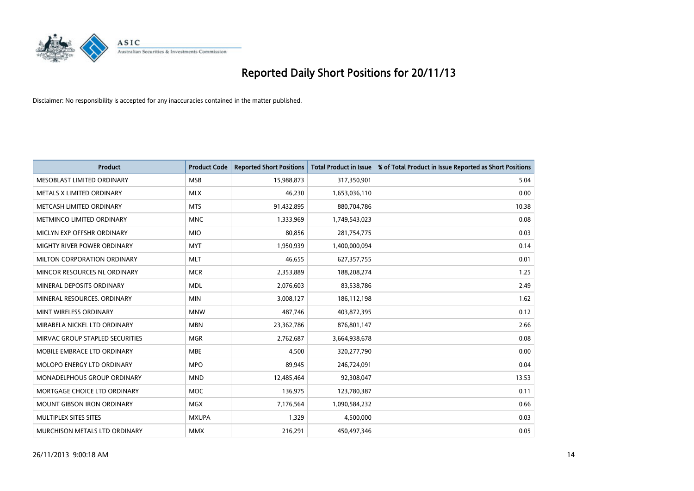

| <b>Product</b>                    | <b>Product Code</b> | <b>Reported Short Positions</b> | <b>Total Product in Issue</b> | % of Total Product in Issue Reported as Short Positions |
|-----------------------------------|---------------------|---------------------------------|-------------------------------|---------------------------------------------------------|
| MESOBLAST LIMITED ORDINARY        | <b>MSB</b>          | 15,988,873                      | 317,350,901                   | 5.04                                                    |
| METALS X LIMITED ORDINARY         | <b>MLX</b>          | 46,230                          | 1,653,036,110                 | 0.00                                                    |
| METCASH LIMITED ORDINARY          | <b>MTS</b>          | 91,432,895                      | 880,704,786                   | 10.38                                                   |
| METMINCO LIMITED ORDINARY         | <b>MNC</b>          | 1,333,969                       | 1,749,543,023                 | 0.08                                                    |
| MICLYN EXP OFFSHR ORDINARY        | <b>MIO</b>          | 80,856                          | 281,754,775                   | 0.03                                                    |
| MIGHTY RIVER POWER ORDINARY       | <b>MYT</b>          | 1,950,939                       | 1,400,000,094                 | 0.14                                                    |
| MILTON CORPORATION ORDINARY       | <b>MLT</b>          | 46,655                          | 627,357,755                   | 0.01                                                    |
| MINCOR RESOURCES NL ORDINARY      | <b>MCR</b>          | 2,353,889                       | 188,208,274                   | 1.25                                                    |
| MINERAL DEPOSITS ORDINARY         | <b>MDL</b>          | 2,076,603                       | 83,538,786                    | 2.49                                                    |
| MINERAL RESOURCES, ORDINARY       | <b>MIN</b>          | 3,008,127                       | 186,112,198                   | 1.62                                                    |
| MINT WIRELESS ORDINARY            | <b>MNW</b>          | 487,746                         | 403,872,395                   | 0.12                                                    |
| MIRABELA NICKEL LTD ORDINARY      | <b>MBN</b>          | 23,362,786                      | 876,801,147                   | 2.66                                                    |
| MIRVAC GROUP STAPLED SECURITIES   | <b>MGR</b>          | 2,762,687                       | 3,664,938,678                 | 0.08                                                    |
| MOBILE EMBRACE LTD ORDINARY       | <b>MBE</b>          | 4,500                           | 320,277,790                   | 0.00                                                    |
| MOLOPO ENERGY LTD ORDINARY        | <b>MPO</b>          | 89,945                          | 246,724,091                   | 0.04                                                    |
| MONADELPHOUS GROUP ORDINARY       | <b>MND</b>          | 12,485,464                      | 92,308,047                    | 13.53                                                   |
| MORTGAGE CHOICE LTD ORDINARY      | MOC                 | 136,975                         | 123,780,387                   | 0.11                                                    |
| <b>MOUNT GIBSON IRON ORDINARY</b> | <b>MGX</b>          | 7,176,564                       | 1,090,584,232                 | 0.66                                                    |
| MULTIPLEX SITES SITES             | <b>MXUPA</b>        | 1,329                           | 4,500,000                     | 0.03                                                    |
| MURCHISON METALS LTD ORDINARY     | <b>MMX</b>          | 216,291                         | 450,497,346                   | 0.05                                                    |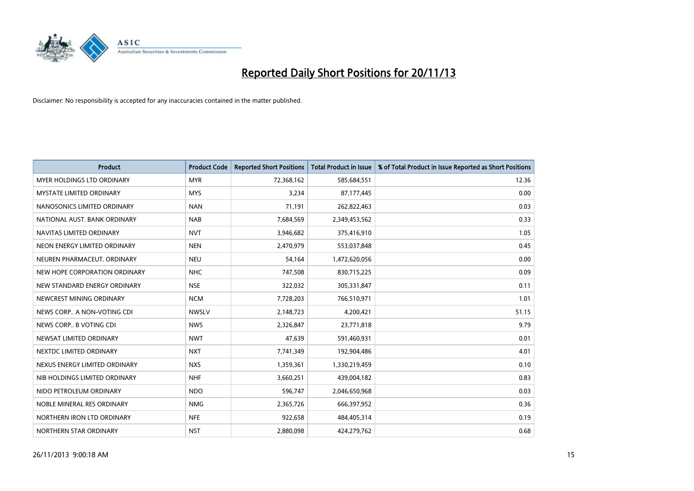

| <b>Product</b>                  | <b>Product Code</b> | <b>Reported Short Positions</b> | <b>Total Product in Issue</b> | % of Total Product in Issue Reported as Short Positions |
|---------------------------------|---------------------|---------------------------------|-------------------------------|---------------------------------------------------------|
| MYER HOLDINGS LTD ORDINARY      | <b>MYR</b>          | 72,368,162                      | 585,684,551                   | 12.36                                                   |
| <b>MYSTATE LIMITED ORDINARY</b> | <b>MYS</b>          | 3,234                           | 87,177,445                    | 0.00                                                    |
| NANOSONICS LIMITED ORDINARY     | <b>NAN</b>          | 71,191                          | 262,822,463                   | 0.03                                                    |
| NATIONAL AUST. BANK ORDINARY    | <b>NAB</b>          | 7,684,569                       | 2,349,453,562                 | 0.33                                                    |
| NAVITAS LIMITED ORDINARY        | <b>NVT</b>          | 3,946,682                       | 375,416,910                   | 1.05                                                    |
| NEON ENERGY LIMITED ORDINARY    | <b>NEN</b>          | 2,470,979                       | 553,037,848                   | 0.45                                                    |
| NEUREN PHARMACEUT. ORDINARY     | <b>NEU</b>          | 54,164                          | 1,472,620,056                 | 0.00                                                    |
| NEW HOPE CORPORATION ORDINARY   | <b>NHC</b>          | 747,508                         | 830,715,225                   | 0.09                                                    |
| NEW STANDARD ENERGY ORDINARY    | <b>NSE</b>          | 322,032                         | 305,331,847                   | 0.11                                                    |
| NEWCREST MINING ORDINARY        | <b>NCM</b>          | 7,728,203                       | 766,510,971                   | 1.01                                                    |
| NEWS CORP A NON-VOTING CDI      | <b>NWSLV</b>        | 2,148,723                       | 4,200,421                     | 51.15                                                   |
| NEWS CORP B VOTING CDI          | <b>NWS</b>          | 2,326,847                       | 23,771,818                    | 9.79                                                    |
| NEWSAT LIMITED ORDINARY         | <b>NWT</b>          | 47,639                          | 591,460,931                   | 0.01                                                    |
| NEXTDC LIMITED ORDINARY         | <b>NXT</b>          | 7,741,349                       | 192,904,486                   | 4.01                                                    |
| NEXUS ENERGY LIMITED ORDINARY   | <b>NXS</b>          | 1,359,361                       | 1,330,219,459                 | 0.10                                                    |
| NIB HOLDINGS LIMITED ORDINARY   | <b>NHF</b>          | 3,660,251                       | 439,004,182                   | 0.83                                                    |
| NIDO PETROLEUM ORDINARY         | <b>NDO</b>          | 596,747                         | 2,046,650,968                 | 0.03                                                    |
| NOBLE MINERAL RES ORDINARY      | <b>NMG</b>          | 2,365,726                       | 666,397,952                   | 0.36                                                    |
| NORTHERN IRON LTD ORDINARY      | <b>NFE</b>          | 922,658                         | 484,405,314                   | 0.19                                                    |
| NORTHERN STAR ORDINARY          | <b>NST</b>          | 2,880,098                       | 424,279,762                   | 0.68                                                    |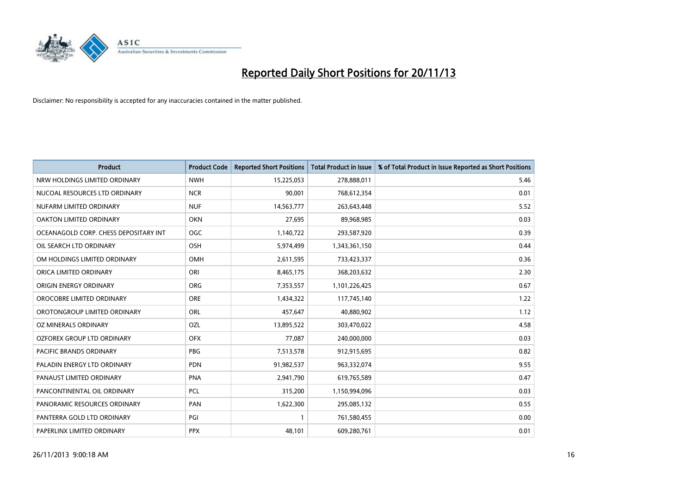

| <b>Product</b>                        | <b>Product Code</b> | <b>Reported Short Positions</b> | <b>Total Product in Issue</b> | % of Total Product in Issue Reported as Short Positions |
|---------------------------------------|---------------------|---------------------------------|-------------------------------|---------------------------------------------------------|
| NRW HOLDINGS LIMITED ORDINARY         | <b>NWH</b>          | 15,225,053                      | 278,888,011                   | 5.46                                                    |
| NUCOAL RESOURCES LTD ORDINARY         | <b>NCR</b>          | 90,001                          | 768,612,354                   | 0.01                                                    |
| NUFARM LIMITED ORDINARY               | <b>NUF</b>          | 14,563,777                      | 263,643,448                   | 5.52                                                    |
| OAKTON LIMITED ORDINARY               | <b>OKN</b>          | 27,695                          | 89,968,985                    | 0.03                                                    |
| OCEANAGOLD CORP. CHESS DEPOSITARY INT | <b>OGC</b>          | 1,140,722                       | 293,587,920                   | 0.39                                                    |
| OIL SEARCH LTD ORDINARY               | OSH                 | 5,974,499                       | 1,343,361,150                 | 0.44                                                    |
| OM HOLDINGS LIMITED ORDINARY          | OMH                 | 2,611,595                       | 733,423,337                   | 0.36                                                    |
| ORICA LIMITED ORDINARY                | ORI                 | 8,465,175                       | 368,203,632                   | 2.30                                                    |
| ORIGIN ENERGY ORDINARY                | <b>ORG</b>          | 7,353,557                       | 1,101,226,425                 | 0.67                                                    |
| OROCOBRE LIMITED ORDINARY             | ORE                 | 1,434,322                       | 117,745,140                   | 1.22                                                    |
| OROTONGROUP LIMITED ORDINARY          | ORL                 | 457,647                         | 40,880,902                    | 1.12                                                    |
| OZ MINERALS ORDINARY                  | <b>OZL</b>          | 13,895,522                      | 303,470,022                   | 4.58                                                    |
| OZFOREX GROUP LTD ORDINARY            | <b>OFX</b>          | 77,087                          | 240,000,000                   | 0.03                                                    |
| <b>PACIFIC BRANDS ORDINARY</b>        | <b>PBG</b>          | 7,513,578                       | 912,915,695                   | 0.82                                                    |
| PALADIN ENERGY LTD ORDINARY           | <b>PDN</b>          | 91,982,537                      | 963,332,074                   | 9.55                                                    |
| PANAUST LIMITED ORDINARY              | <b>PNA</b>          | 2,941,790                       | 619,765,589                   | 0.47                                                    |
| PANCONTINENTAL OIL ORDINARY           | <b>PCL</b>          | 315,200                         | 1,150,994,096                 | 0.03                                                    |
| PANORAMIC RESOURCES ORDINARY          | PAN                 | 1,622,300                       | 295,085,132                   | 0.55                                                    |
| PANTERRA GOLD LTD ORDINARY            | PGI                 | $\mathbf{1}$                    | 761,580,455                   | 0.00                                                    |
| PAPERLINX LIMITED ORDINARY            | <b>PPX</b>          | 48,101                          | 609,280,761                   | 0.01                                                    |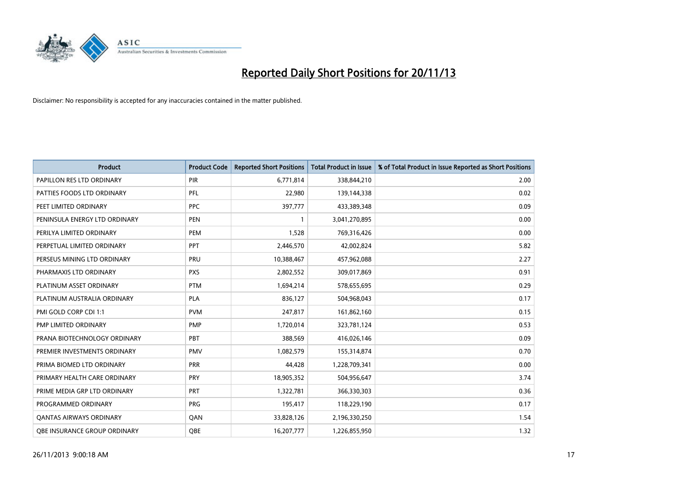

| <b>Product</b>                 | <b>Product Code</b> | <b>Reported Short Positions</b> | <b>Total Product in Issue</b> | % of Total Product in Issue Reported as Short Positions |
|--------------------------------|---------------------|---------------------------------|-------------------------------|---------------------------------------------------------|
| PAPILLON RES LTD ORDINARY      | PIR                 | 6,771,814                       | 338,844,210                   | 2.00                                                    |
| PATTIES FOODS LTD ORDINARY     | <b>PFL</b>          | 22,980                          | 139,144,338                   | 0.02                                                    |
| PEET LIMITED ORDINARY          | <b>PPC</b>          | 397,777                         | 433,389,348                   | 0.09                                                    |
| PENINSULA ENERGY LTD ORDINARY  | <b>PEN</b>          | 1                               | 3,041,270,895                 | 0.00                                                    |
| PERILYA LIMITED ORDINARY       | PEM                 | 1,528                           | 769,316,426                   | 0.00                                                    |
| PERPETUAL LIMITED ORDINARY     | PPT                 | 2,446,570                       | 42,002,824                    | 5.82                                                    |
| PERSEUS MINING LTD ORDINARY    | <b>PRU</b>          | 10,388,467                      | 457,962,088                   | 2.27                                                    |
| PHARMAXIS LTD ORDINARY         | <b>PXS</b>          | 2,802,552                       | 309,017,869                   | 0.91                                                    |
| PLATINUM ASSET ORDINARY        | <b>PTM</b>          | 1,694,214                       | 578,655,695                   | 0.29                                                    |
| PLATINUM AUSTRALIA ORDINARY    | PLA                 | 836,127                         | 504,968,043                   | 0.17                                                    |
| PMI GOLD CORP CDI 1:1          | <b>PVM</b>          | 247,817                         | 161,862,160                   | 0.15                                                    |
| PMP LIMITED ORDINARY           | <b>PMP</b>          | 1,720,014                       | 323,781,124                   | 0.53                                                    |
| PRANA BIOTECHNOLOGY ORDINARY   | <b>PBT</b>          | 388,569                         | 416,026,146                   | 0.09                                                    |
| PREMIER INVESTMENTS ORDINARY   | <b>PMV</b>          | 1,082,579                       | 155,314,874                   | 0.70                                                    |
| PRIMA BIOMED LTD ORDINARY      | <b>PRR</b>          | 44,428                          | 1,228,709,341                 | 0.00                                                    |
| PRIMARY HEALTH CARE ORDINARY   | <b>PRY</b>          | 18,905,352                      | 504,956,647                   | 3.74                                                    |
| PRIME MEDIA GRP LTD ORDINARY   | <b>PRT</b>          | 1,322,781                       | 366,330,303                   | 0.36                                                    |
| PROGRAMMED ORDINARY            | <b>PRG</b>          | 195,417                         | 118,229,190                   | 0.17                                                    |
| <b>QANTAS AIRWAYS ORDINARY</b> | QAN                 | 33,828,126                      | 2,196,330,250                 | 1.54                                                    |
| OBE INSURANCE GROUP ORDINARY   | <b>QBE</b>          | 16,207,777                      | 1,226,855,950                 | 1.32                                                    |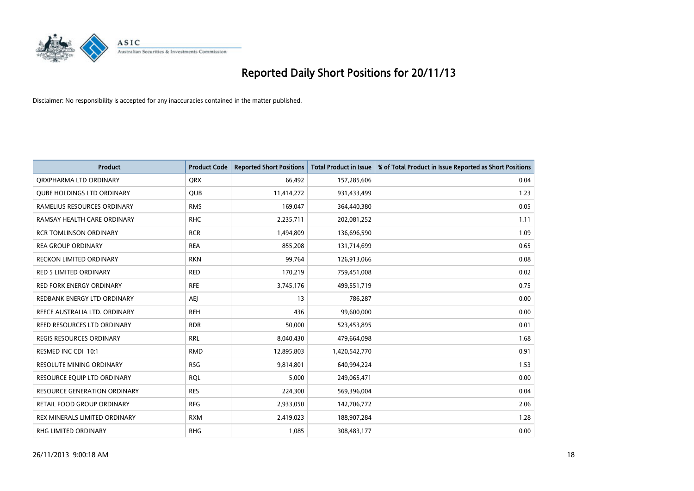

| <b>Product</b>                      | <b>Product Code</b> | <b>Reported Short Positions</b> | <b>Total Product in Issue</b> | % of Total Product in Issue Reported as Short Positions |
|-------------------------------------|---------------------|---------------------------------|-------------------------------|---------------------------------------------------------|
| ORXPHARMA LTD ORDINARY              | <b>QRX</b>          | 66,492                          | 157,285,606                   | 0.04                                                    |
| <b>QUBE HOLDINGS LTD ORDINARY</b>   | QUB                 | 11,414,272                      | 931,433,499                   | 1.23                                                    |
| RAMELIUS RESOURCES ORDINARY         | <b>RMS</b>          | 169,047                         | 364,440,380                   | 0.05                                                    |
| RAMSAY HEALTH CARE ORDINARY         | <b>RHC</b>          | 2,235,711                       | 202,081,252                   | 1.11                                                    |
| <b>RCR TOMLINSON ORDINARY</b>       | <b>RCR</b>          | 1,494,809                       | 136,696,590                   | 1.09                                                    |
| <b>REA GROUP ORDINARY</b>           | <b>REA</b>          | 855,208                         | 131,714,699                   | 0.65                                                    |
| RECKON LIMITED ORDINARY             | <b>RKN</b>          | 99,764                          | 126,913,066                   | 0.08                                                    |
| RED 5 LIMITED ORDINARY              | <b>RED</b>          | 170,219                         | 759,451,008                   | 0.02                                                    |
| <b>RED FORK ENERGY ORDINARY</b>     | <b>RFE</b>          | 3,745,176                       | 499,551,719                   | 0.75                                                    |
| REDBANK ENERGY LTD ORDINARY         | AEJ                 | 13                              | 786,287                       | 0.00                                                    |
| REECE AUSTRALIA LTD. ORDINARY       | <b>REH</b>          | 436                             | 99,600,000                    | 0.00                                                    |
| REED RESOURCES LTD ORDINARY         | <b>RDR</b>          | 50,000                          | 523,453,895                   | 0.01                                                    |
| REGIS RESOURCES ORDINARY            | <b>RRL</b>          | 8,040,430                       | 479,664,098                   | 1.68                                                    |
| RESMED INC CDI 10:1                 | <b>RMD</b>          | 12,895,803                      | 1,420,542,770                 | 0.91                                                    |
| <b>RESOLUTE MINING ORDINARY</b>     | <b>RSG</b>          | 9,814,801                       | 640,994,224                   | 1.53                                                    |
| RESOURCE EQUIP LTD ORDINARY         | <b>RQL</b>          | 5,000                           | 249,065,471                   | 0.00                                                    |
| <b>RESOURCE GENERATION ORDINARY</b> | <b>RES</b>          | 224,300                         | 569,396,004                   | 0.04                                                    |
| <b>RETAIL FOOD GROUP ORDINARY</b>   | <b>RFG</b>          | 2,933,050                       | 142,706,772                   | 2.06                                                    |
| REX MINERALS LIMITED ORDINARY       | <b>RXM</b>          | 2,419,023                       | 188,907,284                   | 1.28                                                    |
| <b>RHG LIMITED ORDINARY</b>         | <b>RHG</b>          | 1,085                           | 308,483,177                   | 0.00                                                    |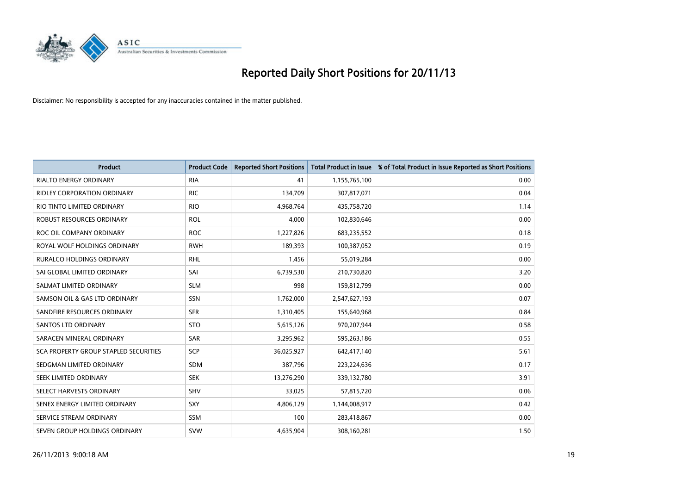

| <b>Product</b>                               | <b>Product Code</b> | <b>Reported Short Positions</b> | <b>Total Product in Issue</b> | % of Total Product in Issue Reported as Short Positions |
|----------------------------------------------|---------------------|---------------------------------|-------------------------------|---------------------------------------------------------|
| <b>RIALTO ENERGY ORDINARY</b>                | <b>RIA</b>          | 41                              | 1,155,765,100                 | 0.00                                                    |
| <b>RIDLEY CORPORATION ORDINARY</b>           | <b>RIC</b>          | 134,709                         | 307,817,071                   | 0.04                                                    |
| RIO TINTO LIMITED ORDINARY                   | <b>RIO</b>          | 4,968,764                       | 435,758,720                   | 1.14                                                    |
| ROBUST RESOURCES ORDINARY                    | <b>ROL</b>          | 4,000                           | 102,830,646                   | 0.00                                                    |
| ROC OIL COMPANY ORDINARY                     | <b>ROC</b>          | 1,227,826                       | 683,235,552                   | 0.18                                                    |
| ROYAL WOLF HOLDINGS ORDINARY                 | <b>RWH</b>          | 189,393                         | 100,387,052                   | 0.19                                                    |
| RURALCO HOLDINGS ORDINARY                    | <b>RHL</b>          | 1,456                           | 55,019,284                    | 0.00                                                    |
| SAI GLOBAL LIMITED ORDINARY                  | SAI                 | 6,739,530                       | 210,730,820                   | 3.20                                                    |
| SALMAT LIMITED ORDINARY                      | <b>SLM</b>          | 998                             | 159,812,799                   | 0.00                                                    |
| SAMSON OIL & GAS LTD ORDINARY                | SSN                 | 1,762,000                       | 2,547,627,193                 | 0.07                                                    |
| SANDFIRE RESOURCES ORDINARY                  | <b>SFR</b>          | 1,310,405                       | 155,640,968                   | 0.84                                                    |
| <b>SANTOS LTD ORDINARY</b>                   | <b>STO</b>          | 5,615,126                       | 970,207,944                   | 0.58                                                    |
| SARACEN MINERAL ORDINARY                     | SAR                 | 3,295,962                       | 595,263,186                   | 0.55                                                    |
| <b>SCA PROPERTY GROUP STAPLED SECURITIES</b> | SCP                 | 36,025,927                      | 642,417,140                   | 5.61                                                    |
| SEDGMAN LIMITED ORDINARY                     | <b>SDM</b>          | 387,796                         | 223,224,636                   | 0.17                                                    |
| SEEK LIMITED ORDINARY                        | <b>SEK</b>          | 13,276,290                      | 339,132,780                   | 3.91                                                    |
| SELECT HARVESTS ORDINARY                     | SHV                 | 33,025                          | 57,815,720                    | 0.06                                                    |
| SENEX ENERGY LIMITED ORDINARY                | <b>SXY</b>          | 4,806,129                       | 1,144,008,917                 | 0.42                                                    |
| SERVICE STREAM ORDINARY                      | <b>SSM</b>          | 100                             | 283,418,867                   | 0.00                                                    |
| SEVEN GROUP HOLDINGS ORDINARY                | <b>SVW</b>          | 4,635,904                       | 308,160,281                   | 1.50                                                    |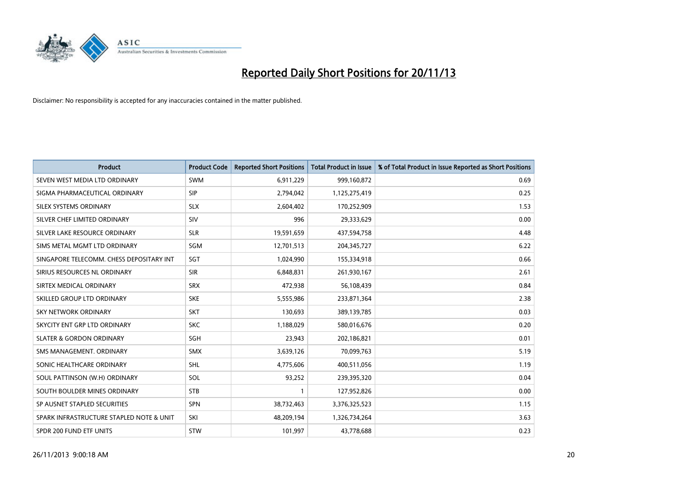

| <b>Product</b>                           | <b>Product Code</b> | <b>Reported Short Positions</b> | <b>Total Product in Issue</b> | % of Total Product in Issue Reported as Short Positions |
|------------------------------------------|---------------------|---------------------------------|-------------------------------|---------------------------------------------------------|
| SEVEN WEST MEDIA LTD ORDINARY            | <b>SWM</b>          | 6,911,229                       | 999,160,872                   | 0.69                                                    |
| SIGMA PHARMACEUTICAL ORDINARY            | <b>SIP</b>          | 2,794,042                       | 1,125,275,419                 | 0.25                                                    |
| SILEX SYSTEMS ORDINARY                   | <b>SLX</b>          | 2,604,402                       | 170,252,909                   | 1.53                                                    |
| SILVER CHEF LIMITED ORDINARY             | SIV                 | 996                             | 29,333,629                    | 0.00                                                    |
| SILVER LAKE RESOURCE ORDINARY            | <b>SLR</b>          | 19,591,659                      | 437,594,758                   | 4.48                                                    |
| SIMS METAL MGMT LTD ORDINARY             | SGM                 | 12,701,513                      | 204, 345, 727                 | 6.22                                                    |
| SINGAPORE TELECOMM. CHESS DEPOSITARY INT | <b>SGT</b>          | 1,024,990                       | 155,334,918                   | 0.66                                                    |
| SIRIUS RESOURCES NL ORDINARY             | <b>SIR</b>          | 6,848,831                       | 261,930,167                   | 2.61                                                    |
| SIRTEX MEDICAL ORDINARY                  | <b>SRX</b>          | 472,938                         | 56,108,439                    | 0.84                                                    |
| SKILLED GROUP LTD ORDINARY               | <b>SKE</b>          | 5,555,986                       | 233,871,364                   | 2.38                                                    |
| SKY NETWORK ORDINARY                     | <b>SKT</b>          | 130,693                         | 389,139,785                   | 0.03                                                    |
| SKYCITY ENT GRP LTD ORDINARY             | <b>SKC</b>          | 1,188,029                       | 580,016,676                   | 0.20                                                    |
| <b>SLATER &amp; GORDON ORDINARY</b>      | SGH                 | 23,943                          | 202,186,821                   | 0.01                                                    |
| SMS MANAGEMENT, ORDINARY                 | <b>SMX</b>          | 3,639,126                       | 70,099,763                    | 5.19                                                    |
| SONIC HEALTHCARE ORDINARY                | <b>SHL</b>          | 4,775,606                       | 400,511,056                   | 1.19                                                    |
| SOUL PATTINSON (W.H) ORDINARY            | SOL                 | 93,252                          | 239,395,320                   | 0.04                                                    |
| SOUTH BOULDER MINES ORDINARY             | <b>STB</b>          | $\mathbf{1}$                    | 127,952,826                   | 0.00                                                    |
| SP AUSNET STAPLED SECURITIES             | <b>SPN</b>          | 38,732,463                      | 3,376,325,523                 | 1.15                                                    |
| SPARK INFRASTRUCTURE STAPLED NOTE & UNIT | SKI                 | 48,209,194                      | 1,326,734,264                 | 3.63                                                    |
| SPDR 200 FUND ETF UNITS                  | <b>STW</b>          | 101,997                         | 43,778,688                    | 0.23                                                    |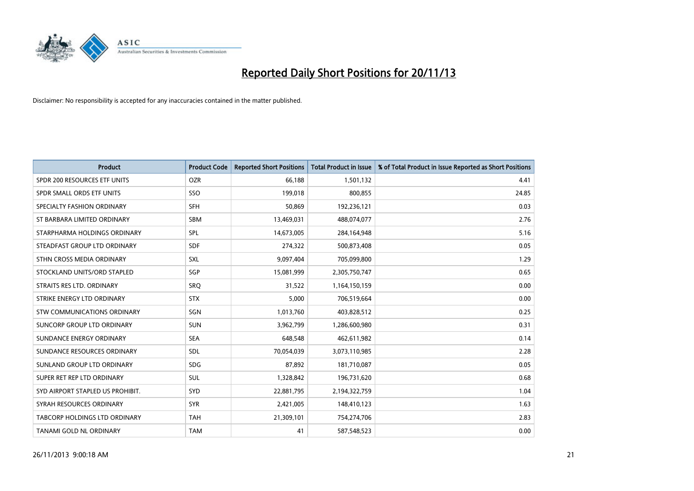

| <b>Product</b>                   | <b>Product Code</b> | <b>Reported Short Positions</b> | <b>Total Product in Issue</b> | % of Total Product in Issue Reported as Short Positions |
|----------------------------------|---------------------|---------------------------------|-------------------------------|---------------------------------------------------------|
| SPDR 200 RESOURCES ETF UNITS     | <b>OZR</b>          | 66,188                          | 1,501,132                     | 4.41                                                    |
| SPDR SMALL ORDS ETF UNITS        | SSO                 | 199,018                         | 800,855                       | 24.85                                                   |
| SPECIALTY FASHION ORDINARY       | <b>SFH</b>          | 50,869                          | 192,236,121                   | 0.03                                                    |
| ST BARBARA LIMITED ORDINARY      | <b>SBM</b>          | 13,469,031                      | 488,074,077                   | 2.76                                                    |
| STARPHARMA HOLDINGS ORDINARY     | SPL                 | 14,673,005                      | 284,164,948                   | 5.16                                                    |
| STEADFAST GROUP LTD ORDINARY     | <b>SDF</b>          | 274,322                         | 500,873,408                   | 0.05                                                    |
| STHN CROSS MEDIA ORDINARY        | SXL                 | 9,097,404                       | 705,099,800                   | 1.29                                                    |
| STOCKLAND UNITS/ORD STAPLED      | SGP                 | 15,081,999                      | 2,305,750,747                 | 0.65                                                    |
| STRAITS RES LTD. ORDINARY        | SRQ                 | 31,522                          | 1,164,150,159                 | 0.00                                                    |
| STRIKE ENERGY LTD ORDINARY       | <b>STX</b>          | 5,000                           | 706,519,664                   | 0.00                                                    |
| STW COMMUNICATIONS ORDINARY      | SGN                 | 1,013,760                       | 403,828,512                   | 0.25                                                    |
| SUNCORP GROUP LTD ORDINARY       | <b>SUN</b>          | 3,962,799                       | 1,286,600,980                 | 0.31                                                    |
| SUNDANCE ENERGY ORDINARY         | <b>SEA</b>          | 648,548                         | 462,611,982                   | 0.14                                                    |
| SUNDANCE RESOURCES ORDINARY      | <b>SDL</b>          | 70,054,039                      | 3,073,110,985                 | 2.28                                                    |
| SUNLAND GROUP LTD ORDINARY       | <b>SDG</b>          | 87,892                          | 181,710,087                   | 0.05                                                    |
| SUPER RET REP LTD ORDINARY       | SUL                 | 1,328,842                       | 196,731,620                   | 0.68                                                    |
| SYD AIRPORT STAPLED US PROHIBIT. | <b>SYD</b>          | 22,881,795                      | 2,194,322,759                 | 1.04                                                    |
| SYRAH RESOURCES ORDINARY         | <b>SYR</b>          | 2,421,005                       | 148,410,123                   | 1.63                                                    |
| TABCORP HOLDINGS LTD ORDINARY    | <b>TAH</b>          | 21,309,101                      | 754,274,706                   | 2.83                                                    |
| TANAMI GOLD NL ORDINARY          | <b>TAM</b>          | 41                              | 587,548,523                   | 0.00                                                    |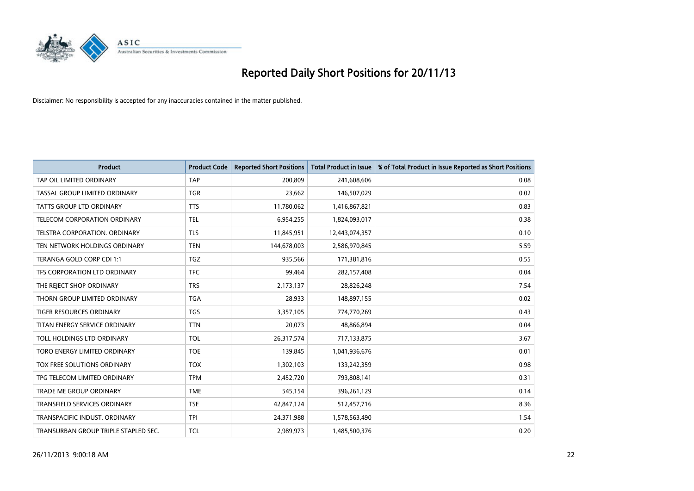

| <b>Product</b>                       | <b>Product Code</b> | <b>Reported Short Positions</b> | <b>Total Product in Issue</b> | % of Total Product in Issue Reported as Short Positions |
|--------------------------------------|---------------------|---------------------------------|-------------------------------|---------------------------------------------------------|
| TAP OIL LIMITED ORDINARY             | <b>TAP</b>          | 200,809                         | 241,608,606                   | 0.08                                                    |
| TASSAL GROUP LIMITED ORDINARY        | <b>TGR</b>          | 23,662                          | 146,507,029                   | 0.02                                                    |
| <b>TATTS GROUP LTD ORDINARY</b>      | <b>TTS</b>          | 11,780,062                      | 1,416,867,821                 | 0.83                                                    |
| TELECOM CORPORATION ORDINARY         | <b>TEL</b>          | 6,954,255                       | 1,824,093,017                 | 0.38                                                    |
| TELSTRA CORPORATION, ORDINARY        | <b>TLS</b>          | 11,845,951                      | 12,443,074,357                | 0.10                                                    |
| TEN NETWORK HOLDINGS ORDINARY        | <b>TEN</b>          | 144,678,003                     | 2,586,970,845                 | 5.59                                                    |
| TERANGA GOLD CORP CDI 1:1            | <b>TGZ</b>          | 935,566                         | 171,381,816                   | 0.55                                                    |
| TFS CORPORATION LTD ORDINARY         | <b>TFC</b>          | 99,464                          | 282,157,408                   | 0.04                                                    |
| THE REJECT SHOP ORDINARY             | <b>TRS</b>          | 2,173,137                       | 28,826,248                    | 7.54                                                    |
| THORN GROUP LIMITED ORDINARY         | <b>TGA</b>          | 28,933                          | 148,897,155                   | 0.02                                                    |
| <b>TIGER RESOURCES ORDINARY</b>      | <b>TGS</b>          | 3,357,105                       | 774,770,269                   | 0.43                                                    |
| TITAN ENERGY SERVICE ORDINARY        | <b>TTN</b>          | 20,073                          | 48,866,894                    | 0.04                                                    |
| TOLL HOLDINGS LTD ORDINARY           | <b>TOL</b>          | 26,317,574                      | 717,133,875                   | 3.67                                                    |
| TORO ENERGY LIMITED ORDINARY         | <b>TOE</b>          | 139,845                         | 1,041,936,676                 | 0.01                                                    |
| TOX FREE SOLUTIONS ORDINARY          | <b>TOX</b>          | 1,302,103                       | 133,242,359                   | 0.98                                                    |
| TPG TELECOM LIMITED ORDINARY         | <b>TPM</b>          | 2,452,720                       | 793,808,141                   | 0.31                                                    |
| <b>TRADE ME GROUP ORDINARY</b>       | <b>TME</b>          | 545,154                         | 396,261,129                   | 0.14                                                    |
| TRANSFIELD SERVICES ORDINARY         | <b>TSE</b>          | 42,847,124                      | 512,457,716                   | 8.36                                                    |
| TRANSPACIFIC INDUST, ORDINARY        | <b>TPI</b>          | 24,371,988                      | 1,578,563,490                 | 1.54                                                    |
| TRANSURBAN GROUP TRIPLE STAPLED SEC. | <b>TCL</b>          | 2,989,973                       | 1,485,500,376                 | 0.20                                                    |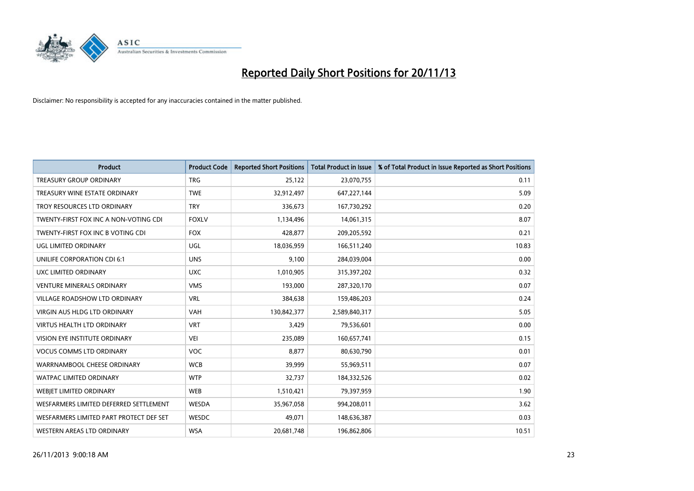

| <b>Product</b>                          | <b>Product Code</b> | <b>Reported Short Positions</b> | <b>Total Product in Issue</b> | % of Total Product in Issue Reported as Short Positions |
|-----------------------------------------|---------------------|---------------------------------|-------------------------------|---------------------------------------------------------|
| <b>TREASURY GROUP ORDINARY</b>          | <b>TRG</b>          | 25,122                          | 23,070,755                    | 0.11                                                    |
| TREASURY WINE ESTATE ORDINARY           | <b>TWE</b>          | 32,912,497                      | 647,227,144                   | 5.09                                                    |
| TROY RESOURCES LTD ORDINARY             | <b>TRY</b>          | 336,673                         | 167,730,292                   | 0.20                                                    |
| TWENTY-FIRST FOX INC A NON-VOTING CDI   | <b>FOXLV</b>        | 1,134,496                       | 14,061,315                    | 8.07                                                    |
| TWENTY-FIRST FOX INC B VOTING CDI       | <b>FOX</b>          | 428,877                         | 209,205,592                   | 0.21                                                    |
| UGL LIMITED ORDINARY                    | UGL                 | 18,036,959                      | 166,511,240                   | 10.83                                                   |
| UNILIFE CORPORATION CDI 6:1             | <b>UNS</b>          | 9,100                           | 284,039,004                   | 0.00                                                    |
| UXC LIMITED ORDINARY                    | <b>UXC</b>          | 1,010,905                       | 315,397,202                   | 0.32                                                    |
| <b>VENTURE MINERALS ORDINARY</b>        | <b>VMS</b>          | 193,000                         | 287,320,170                   | 0.07                                                    |
| <b>VILLAGE ROADSHOW LTD ORDINARY</b>    | <b>VRL</b>          | 384,638                         | 159,486,203                   | 0.24                                                    |
| VIRGIN AUS HLDG LTD ORDINARY            | <b>VAH</b>          | 130,842,377                     | 2,589,840,317                 | 5.05                                                    |
| <b>VIRTUS HEALTH LTD ORDINARY</b>       | <b>VRT</b>          | 3,429                           | 79,536,601                    | 0.00                                                    |
| VISION EYE INSTITUTE ORDINARY           | VEI                 | 235,089                         | 160,657,741                   | 0.15                                                    |
| <b>VOCUS COMMS LTD ORDINARY</b>         | VOC                 | 8,877                           | 80,630,790                    | 0.01                                                    |
| WARRNAMBOOL CHEESE ORDINARY             | <b>WCB</b>          | 39,999                          | 55,969,511                    | 0.07                                                    |
| WATPAC LIMITED ORDINARY                 | <b>WTP</b>          | 32,737                          | 184,332,526                   | 0.02                                                    |
| <b>WEBIET LIMITED ORDINARY</b>          | <b>WEB</b>          | 1,510,421                       | 79,397,959                    | 1.90                                                    |
| WESFARMERS LIMITED DEFERRED SETTLEMENT  | WESDA               | 35,967,058                      | 994,208,011                   | 3.62                                                    |
| WESFARMERS LIMITED PART PROTECT DEF SET | <b>WESDC</b>        | 49,071                          | 148,636,387                   | 0.03                                                    |
| WESTERN AREAS LTD ORDINARY              | <b>WSA</b>          | 20,681,748                      | 196,862,806                   | 10.51                                                   |